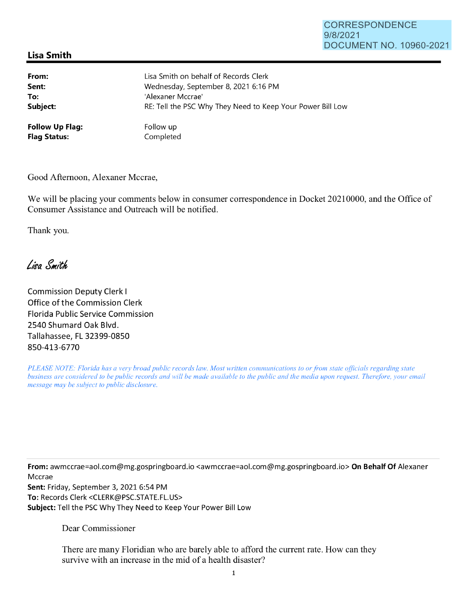## CORRESPONDENCE 9/8/2021 DOCUMENT NO. 10960-2021

## **Lisa Smith**

| From:                  | Lisa Smith on behalf of Records Clerk                      |
|------------------------|------------------------------------------------------------|
| Sent:                  | Wednesday, September 8, 2021 6:16 PM                       |
| To:                    | 'Alexaner Mccrae'                                          |
| Subject:               | RE: Tell the PSC Why They Need to Keep Your Power Bill Low |
| <b>Follow Up Flag:</b> | Follow up                                                  |
| <b>Flag Status:</b>    | Completed                                                  |

Good Afternoon, Alexaner Mccrae,

We will be placing your comments below in consumer correspondence in Docket 20210000, and the Office of Consumer Assistance and Outreach will be notified.

Thank you.

## Liga Smith

Commission Deputy Clerk I Office of the Commission Clerk Florida Public Service Commission 2540 Shumard Oak Blvd. Tallahassee, FL 32399-0850 850-413-6770

*PLEASE NOTE: Florida has a very broad public records law. Most written communications to or from state officials regarding state business are considered to be public records and will be made available to the public and the media upon request. Therefore, your email message may be subject to public disclosure.* 

**From:** awmccrae=aol.com@mg.gospringboard.io <awmccrae=aol.com@mg.gospringboard.io> **On Behalf Of** Alexaner Mccrae **Sent:** Friday, September 3, 2021 6:54 PM **To:** Records Clerk <CLERK@PSC.STATE.FL.US> **Subject:** Tell the PSC Why They Need to Keep Your Power Bill Low

Dear Commissioner

There are many Floridian who are barely able to afford the current rate. How can they survive with an increase in the mid of a health disaster?